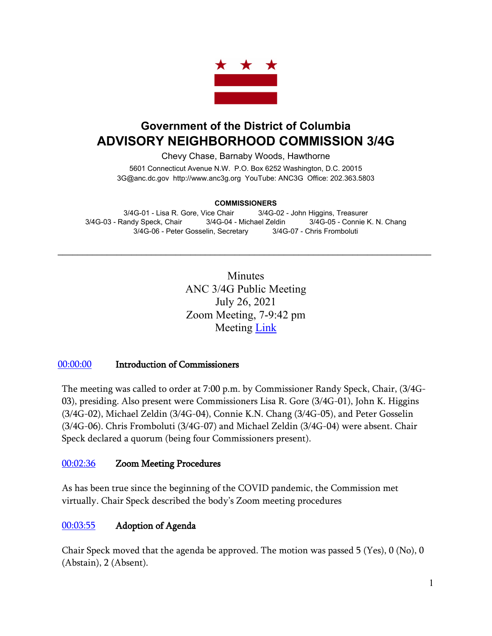

# **Government of the District of Columbia ADVISORY NEIGHBORHOOD COMMISSION 3/4G**

Chevy Chase, Barnaby Woods, Hawthorne

5601 Connecticut Avenue N.W. P.O. Box 6252 Washington, D.C. 20015 3G@anc.dc.gov [http://www.anc3g.org](http://www.anc3g.org/) YouTube: ANC3G Office: 202.363.5803

#### **COMMISSIONERS**

3/4G-01 - Lisa R. Gore, Vice Chair 3/4G-02 - John Higgins, Treasurer 3/4G-03 - Randy Speck, Chair 3/4G-04 - Michael Zeldin 3/4G-05 - Connie K. N. Chang 3/4G-06 - Peter Gosselin, Secretary 3/4G-07 - Chris Fromboluti

 $\mathcal{L}_\text{max}$  and  $\mathcal{L}_\text{max}$  and  $\mathcal{L}_\text{max}$  and  $\mathcal{L}_\text{max}$  and  $\mathcal{L}_\text{max}$  and  $\mathcal{L}_\text{max}$ 

**Minutes** ANC 3/4G Public Meeting July 26, 2021 Zoom Meeting, 7-9:42 pm Meeting [Link](https://www.youtube.com/watch?v=gAohHdUW31o)

### [00:00:00](https://www.youtube.com/watch?v=gAohHdUW31o&t=0s) Introduction of Commissioners

The meeting was called to order at 7:00 p.m. by Commissioner Randy Speck, Chair, (3/4G-03), presiding. Also present were Commissioners Lisa R. Gore (3/4G-01), John K. Higgins (3/4G-02), Michael Zeldin (3/4G-04), Connie K.N. Chang (3/4G-05), and Peter Gosselin (3/4G-06). Chris Fromboluti (3/4G-07) and Michael Zeldin (3/4G-04) were absent. Chair Speck declared a quorum (being four Commissioners present).

### [00:02:36](https://www.youtube.com/watch?v=gAohHdUW31o&t=156s) Zoom Meeting Procedures

As has been true since the beginning of the COVID pandemic, the Commission met virtually. Chair Speck described the body's Zoom meeting procedures

### [00:03:55](https://www.youtube.com/watch?v=gAohHdUW31o&t=235s) Adoption of Agenda

Chair Speck moved that the agenda be approved. The motion was passed 5 (Yes), 0 (No), 0 (Abstain), 2 (Absent).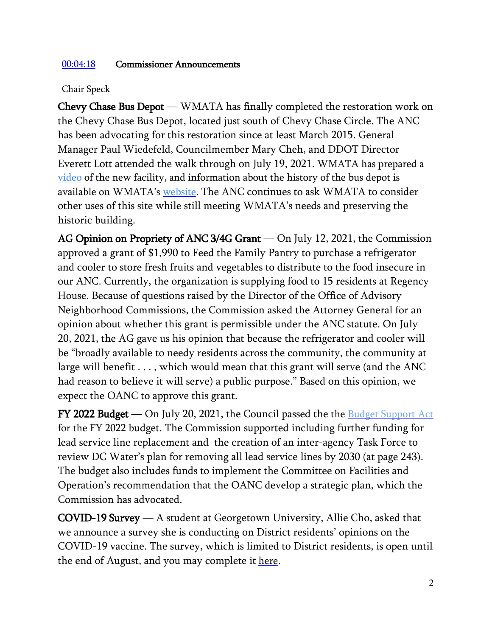## [00:04:18](https://www.youtube.com/watch?v=gAohHdUW31o&t=258s) Commissioner Announcements

## Chair Speck

Chevy Chase Bus Depot — WMATA has finally completed the restoration work on the Chevy Chase Bus Depot, located just south of Chevy Chase Circle. The ANC has been advocating for this restoration since at least March 2015. General Manager Paul Wiedefeld, Councilmember Mary Cheh, and DDOT Director Everett Lott attended the walk through on July 19, 2021. WMATA has prepared a [video](https://youtu.be/BS7E-NShX-g) of the new facility, and information about the history of the bus depot is available on WMATA's [website.](https://nam11.safelinks.protection.outlook.com/?url=https://wmata.com/initiatives/plans/historic-bus-terminals/Rehabilitating-Historic-Terminals.cfm&data=04%7C01%7CAChisholm@wmata.com%7C3a071cb4fea043eb771e08d94d383315%7Cad5836f40d7443cd83c57e69eaa67915%7C0%7C0%7C637625726164738258%7CUnknown%7CTWFpbGZsb3d8eyJWIjoiMC4wLjAwMDAiLCJQIjoiV2luMzIiLCJBTiI6Ik1haWwiLCJXVCI6Mn0=%7C1000&sdata=JJg4T/P7iEgYrWIMzG6ZGhjtYIVB7oskGJiv7IhMv3k=&reserved=0) The ANC continues to ask WMATA to consider other uses of this site while still meeting WMATA's needs and preserving the historic building.

AG Opinion on Propriety of ANC 3/4G Grant — On July 12, 2021, the Commission approved a grant of \$1,990 to Feed the Family Pantry to purchase a refrigerator and cooler to store fresh fruits and vegetables to distribute to the food insecure in our ANC. Currently, the organization is supplying food to 15 residents at Regency House. Because of questions raised by the Director of the Office of Advisory Neighborhood Commissions, the Commission asked the Attorney General for an opinion about whether this grant is permissible under the ANC statute. On July 20, 2021, the AG gave us his opinion that because the refrigerator and cooler will be "broadly available to needy residents across the community, the community at large will benefit . . . , which would mean that this grant will serve (and the ANC had reason to believe it will serve) a public purpose." Based on this opinion, we expect the OANC to approve this grant.

**FY 2022 Budget** — On July 20, 2021, the Council passed the the **Budget [Support Act](https://static1.squarespace.com/static/5bbd09f3d74562c7f0e4bb10/t/60f5c38ea97a30542cbc0ad1/1626719119006/B24-285+FY22+BSA+-+COMMITTEE+PRINT.pdf)** for the FY 2022 budget. The Commission supported including further funding for lead service line replacement and the creation of an inter-agency Task Force to review DC Water's plan for removing all lead service lines by 2030 (at page 243). The budget also includes funds to implement the Committee on Facilities and Operation's recommendation that the OANC develop a strategic plan, which the Commission has advocated.

COVID-19 Survey — A student at Georgetown University, Allie Cho, asked that we announce a survey she is conducting on District residents' opinions on the COVID-19 vaccine. The survey, which is limited to District residents, is open until the end of August, and you may complete it [here.](https://georgetown.az1.qualtrics.com/jfe/form/SV_8e7wvs1iOybp37w)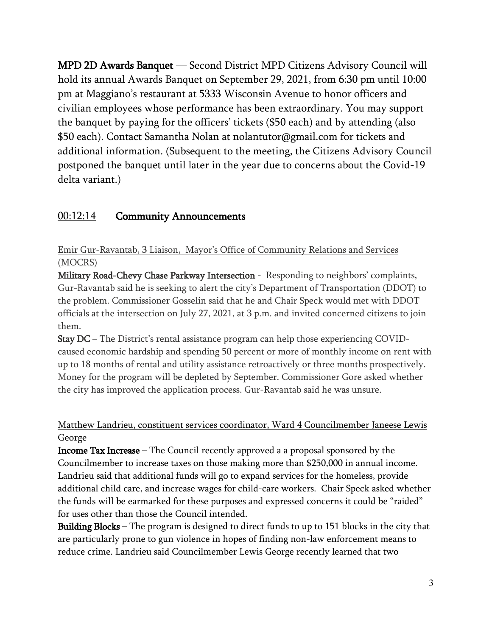MPD 2D Awards Banquet — Second District MPD Citizens Advisory Council will hold its annual Awards Banquet on September 29, 2021, from 6:30 pm until 10:00 pm at Maggiano's restaurant at 5333 Wisconsin Avenue to honor officers and civilian employees whose performance has been extraordinary. You may support the banquet by paying for the officers' tickets (\$50 each) and by attending (also \$50 each). Contact Samantha Nolan at nolantutor@gmail.com for tickets and additional information. (Subsequent to the meeting, the Citizens Advisory Council postponed the banquet until later in the year due to concerns about the Covid-19 delta variant.)

# [00:12:14](https://www.youtube.com/watch?v=gAohHdUW31o&t=734s) Community Announcements

Emir Gur-Ravantab, 3 Liaison, Mayor's Office of Community Relations and Services (MOCRS)

Military Road-Chevy Chase Parkway Intersection - Responding to neighbors' complaints, Gur-Ravantab said he is seeking to alert the city's Department of Transportation (DDOT) to the problem. Commissioner Gosselin said that he and Chair Speck would met with DDOT officials at the intersection on July 27, 2021, at 3 p.m. and invited concerned citizens to join them.

Stay DC – The District's rental assistance program can help those experiencing COVIDcaused economic hardship and spending 50 percent or more of monthly income on rent with up to 18 months of rental and utility assistance retroactively or three months prospectively. Money for the program will be depleted by September. Commissioner Gore asked whether the city has improved the application process. Gur-Ravantab said he was unsure.

# Matthew Landrieu, constituent services coordinator, Ward 4 Councilmember Janeese Lewis **George**

Income Tax Increase – The Council recently approved a a proposal sponsored by the Councilmember to increase taxes on those making more than \$250,000 in annual income. Landrieu said that additional funds will go to expand services for the homeless, provide additional child care, and increase wages for child-care workers. Chair Speck asked whether the funds will be earmarked for these purposes and expressed concerns it could be "raided" for uses other than those the Council intended.

Building Blocks – The program is designed to direct funds to up to 151 blocks in the city that are particularly prone to gun violence in hopes of finding non-law enforcement means to reduce crime. Landrieu said Councilmember Lewis George recently learned that two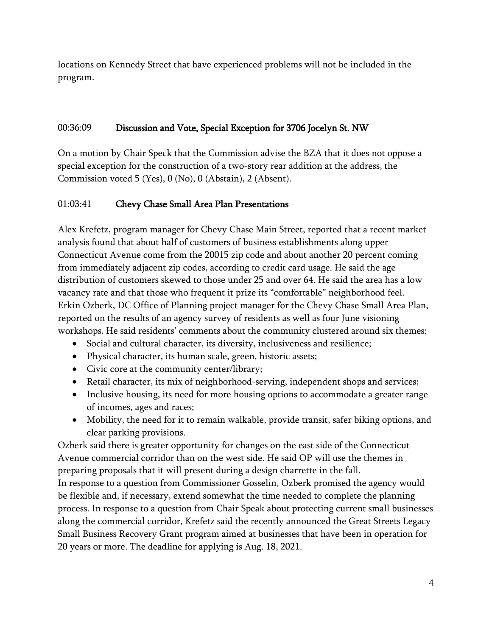locations on Kennedy Street that have experienced problems will not be included in the program.

## 00:36:09 Discussion and Vote, Special Exception for 3706 Jocelyn St. NW

On a motion by Chair Speck that the Commission advise the BZA that it does not oppose a special exception for the construction of a two-story rear addition at the address, the Commission voted 5 (Yes), 0 (No), 0 (Abstain), 2 (Absent).

# [01:03:41](https://www.youtube.com/watch?v=gAohHdUW31o&t=3821s) Chevy Chase Small Area Plan Presentations

Alex Krefetz, program manager for Chevy Chase Main Street, reported that a recent market analysis found that about half of customers of business establishments along upper Connecticut Avenue come from the 20015 zip code and about another 20 percent coming from immediately adjacent zip codes, according to credit card usage. He said the age distribution of customers skewed to those under 25 and over 64. He said the area has a low vacancy rate and that those who frequent it prize its "comfortable" neighborhood feel. Erkin Ozberk, DC Office of Planning project manager for the Chevy Chase Small Area Plan, reported on the results of an agency survey of residents as well as four June visioning workshops. He said residents' comments about the community clustered around six themes:

- Social and cultural character, its diversity, inclusiveness and resilience;
- Physical character, its human scale, green, historic assets;
- Civic core at the community center/library;
- Retail character, its mix of neighborhood-serving, independent shops and services;
- Inclusive housing, its need for more housing options to accommodate a greater range of incomes, ages and races;
- Mobility, the need for it to remain walkable, provide transit, safer biking options, and clear parking provisions.

Ozberk said there is greater opportunity for changes on the east side of the Connecticut Avenue commercial corridor than on the west side. He said OP will use the themes in preparing proposals that it will present during a design charrette in the fall.

In response to a question from Commissioner Gosselin, Ozberk promised the agency would be flexible and, if necessary, extend somewhat the time needed to complete the planning process. In response to a question from Chair Speak about protecting current small businesses along the commercial corridor, Krefetz said the recently announced the Great Streets Legacy Small Business Recovery Grant program aimed at businesses that have been in operation for 20 years or more. The deadline for applying is Aug. 18, 2021.